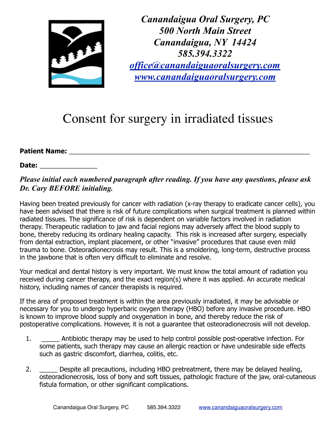

*Canandaigua Oral Surgery, PC 500 North Main Street Canandaigua, NY 14424 585.394.3322 [office@canandaiguaoralsurgery.com](mailto:office@canandaiguaoralsurgery.com) [www.canandaiguaoralsurgery.com](http://www.canandaiguaoralsurgery.com)*

## Consent for surgery in irradiated tissues

## **Patient Name:** \_\_\_\_\_\_\_\_\_\_\_\_\_\_\_\_\_\_\_\_\_\_\_\_\_\_\_\_\_\_\_\_\_\_\_\_\_\_\_\_\_\_\_\_\_\_\_\_\_\_\_\_\_\_\_\_\_\_\_\_\_\_\_\_\_\_\_

## **Date:** \_\_\_\_\_\_\_\_\_\_\_\_\_\_\_\_

## *Please initial each numbered paragraph after reading. If you have any questions, please ask Dr. Cary BEFORE initialing.*

Having been treated previously for cancer with radiation (x-ray therapy to eradicate cancer cells), you have been advised that there is risk of future complications when surgical treatment is planned within radiated tissues. The significance of risk is dependent on variable factors involved in radiation therapy. Therapeutic radiation to jaw and facial regions may adversely affect the blood supply to bone, thereby reducing its ordinary healing capacity. This risk is increased after surgery, especially from dental extraction, implant placement, or other "invasive" procedures that cause even mild trauma to bone. Osteoradionecrosis may result. This is a smoldering, long-term, destructive process in the jawbone that is often very difficult to eliminate and resolve.

Your medical and dental history is very important. We must know the total amount of radiation you received during cancer therapy, and the exact region(s) where it was applied. An accurate medical history, including names of cancer therapists is required.

If the area of proposed treatment is within the area previously irradiated, it may be advisable or necessary for you to undergo hyperbaric oxygen therapy (HBO) before any invasive procedure. HBO is known to improve blood supply and oxygenation in bone, and thereby reduce the risk of postoperative complications. However, it is not a guarantee that osteoradionecrosis will not develop.

- 1. \_\_\_\_\_ Antibiotic therapy may be used to help control possible post-operative infection. For some patients, such therapy may cause an allergic reaction or have undesirable side effects such as gastric discomfort, diarrhea, colitis, etc.
- 2. Despite all precautions, including HBO pretreatment, there may be delayed healing, osteoradionecrosis, loss of bony and soft tissues, pathologic fracture of the jaw, oral-cutaneous fistula formation, or other significant complications.